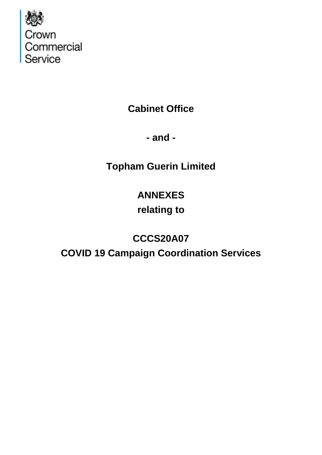

**Cabinet Office**

**- and -**

**Topham Guerin Limited**

# **ANNEXES**

## **relating to**

## **CCCS20A07**

**COVID 19 Campaign Coordination Services**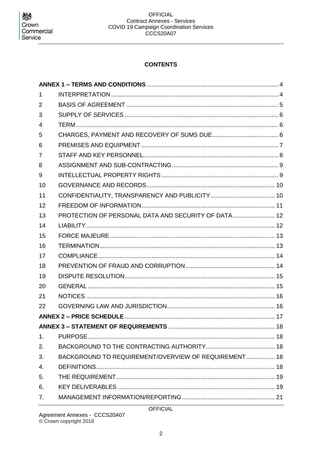## **CONTENTS**

| 1              |                                                      |  |
|----------------|------------------------------------------------------|--|
| $\overline{2}$ |                                                      |  |
| 3              |                                                      |  |
| 4              |                                                      |  |
| 5              |                                                      |  |
| 6              |                                                      |  |
| 7              |                                                      |  |
| 8              |                                                      |  |
| 9              |                                                      |  |
| 10             |                                                      |  |
| 11             |                                                      |  |
| 12             |                                                      |  |
| 13             | PROTECTION OF PERSONAL DATA AND SECURITY OF DATA 12  |  |
| 14             |                                                      |  |
| 15             |                                                      |  |
| 16             |                                                      |  |
| 17             |                                                      |  |
| 18             |                                                      |  |
| 19             |                                                      |  |
| 20             |                                                      |  |
| 21             |                                                      |  |
| 22             |                                                      |  |
|                |                                                      |  |
|                |                                                      |  |
| 1.             |                                                      |  |
| 2.             |                                                      |  |
| 3.             | BACKGROUND TO REQUIREMENT/OVERVIEW OF REQUIREMENT 18 |  |
| 4.             |                                                      |  |
| 5.             |                                                      |  |
| 6.             |                                                      |  |
| 7 <sub>1</sub> |                                                      |  |

Agreement Annexes - CCCS20A07<br>© Crown copyright 2018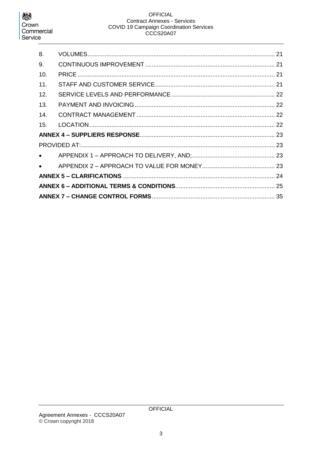## **OFFICIAL Contract Annexes - Services** COVID 19 Campaign Coordination Services<br>CCCS20A07

| 8.                               |  |  |  |
|----------------------------------|--|--|--|
| 9.                               |  |  |  |
| 10.                              |  |  |  |
| 11.                              |  |  |  |
| 12.                              |  |  |  |
| 13.                              |  |  |  |
| 14.                              |  |  |  |
| 15.                              |  |  |  |
|                                  |  |  |  |
|                                  |  |  |  |
| $\bullet$ and $\bullet$          |  |  |  |
| $\bullet$ . The set of $\bullet$ |  |  |  |
|                                  |  |  |  |
|                                  |  |  |  |
|                                  |  |  |  |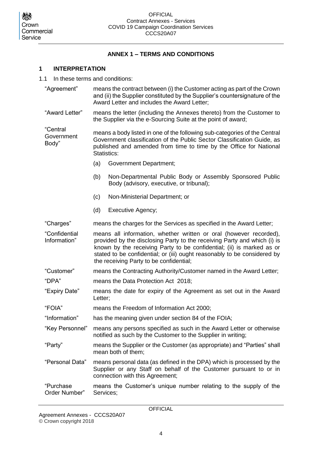## **ANNEX 1 – TERMS AND CONDITIONS**

### <span id="page-3-1"></span><span id="page-3-0"></span>**1 INTERPRETATION**

- 1.1 In these terms and conditions:
	- "Agreement" means the contract between (i) the Customer acting as part of the Crown and (ii) the Supplier constituted by the Supplier's countersignature of the Award Letter and includes the Award Letter;
	- "Award Letter" means the letter (including the Annexes thereto) from the Customer to the Supplier via the e-Sourcing Suite at the point of award;

"Central **Government** Body" means a body listed in one of the following sub-categories of the Central Government classification of the Public Sector Classification Guide, as published and amended from time to time by the Office for National Statistics:

- (a) Government Department;
- (b) Non-Departmental Public Body or Assembly Sponsored Public Body (advisory, executive, or tribunal);
- (c) Non-Ministerial Department; or
- (d) Executive Agency;

"Charges" means the charges for the Services as specified in the Award Letter;

"Confidential Information" means all information, whether written or oral (however recorded), provided by the disclosing Party to the receiving Party and which (i) is known by the receiving Party to be confidential; (ii) is marked as or stated to be confidential; or (iii) ought reasonably to be considered by the receiving Party to be confidential;

- "Customer" means the Contracting Authority/Customer named in the Award Letter;
- "DPA" means the Data Protection Act 2018;
- "Expiry Date" means the date for expiry of the Agreement as set out in the Award Letter;
- "FOIA" means the Freedom of Information Act 2000;
- "Information" has the meaning given under section 84 of the FOIA;
- "Key Personnel" means any persons specified as such in the Award Letter or otherwise notified as such by the Customer to the Supplier in writing;
- "Party" means the Supplier or the Customer (as appropriate) and "Parties" shall mean both of them;
- "Personal Data" means personal data (as defined in the DPA) which is processed by the Supplier or any Staff on behalf of the Customer pursuant to or in connection with this Agreement;
- "Purchase Order Number" means the Customer's unique number relating to the supply of the Services;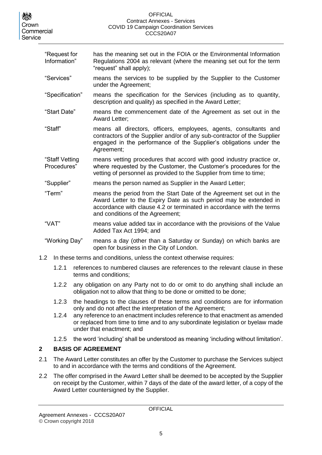#### **OFFICIAL** Contract Annexes - Services COVID 19 Campaign Coordination Services CCCS20A07

| "Request for<br>Information"  | has the meaning set out in the FOIA or the Environmental Information<br>Regulations 2004 as relevant (where the meaning set out for the term<br>"request" shall apply);                                                                                |
|-------------------------------|--------------------------------------------------------------------------------------------------------------------------------------------------------------------------------------------------------------------------------------------------------|
| "Services"                    | means the services to be supplied by the Supplier to the Customer<br>under the Agreement;                                                                                                                                                              |
| "Specification"               | means the specification for the Services (including as to quantity,<br>description and quality) as specified in the Award Letter;                                                                                                                      |
| "Start Date"                  | means the commencement date of the Agreement as set out in the<br><b>Award Letter:</b>                                                                                                                                                                 |
| "Staff"                       | means all directors, officers, employees, agents, consultants and<br>contractors of the Supplier and/or of any sub-contractor of the Supplier<br>engaged in the performance of the Supplier's obligations under the<br>Agreement;                      |
| "Staff Vetting<br>Procedures" | means vetting procedures that accord with good industry practice or,<br>where requested by the Customer, the Customer's procedures for the<br>vetting of personnel as provided to the Supplier from time to time;                                      |
| "Supplier"                    | means the person named as Supplier in the Award Letter;                                                                                                                                                                                                |
| "Term"                        | means the period from the Start Date of the Agreement set out in the<br>Award Letter to the Expiry Date as such period may be extended in<br>accordance with clause 4.2 or terminated in accordance with the terms<br>and conditions of the Agreement; |
| "VAT"                         | means value added tax in accordance with the provisions of the Value<br>Added Tax Act 1994; and                                                                                                                                                        |
| "Working Day"                 | means a day (other than a Saturday or Sunday) on which banks are<br>open for business in the City of London.                                                                                                                                           |

- 1.2 In these terms and conditions, unless the context otherwise requires:
	- 1.2.1 references to numbered clauses are references to the relevant clause in these terms and conditions;
	- 1.2.2 any obligation on any Party not to do or omit to do anything shall include an obligation not to allow that thing to be done or omitted to be done;
	- 1.2.3 the headings to the clauses of these terms and conditions are for information only and do not affect the interpretation of the Agreement;
	- 1.2.4 any reference to an enactment includes reference to that enactment as amended or replaced from time to time and to any subordinate legislation or byelaw made under that enactment; and
	- 1.2.5 the word 'including' shall be understood as meaning 'including without limitation'.

## <span id="page-4-0"></span>**2 BASIS OF AGREEMENT**

- 2.1 The Award Letter constitutes an offer by the Customer to purchase the Services subject to and in accordance with the terms and conditions of the Agreement.
- 2.2 The offer comprised in the Award Letter shall be deemed to be accepted by the Supplier on receipt by the Customer, within 7 days of the date of the award letter, of a copy of the Award Letter countersigned by the Supplier.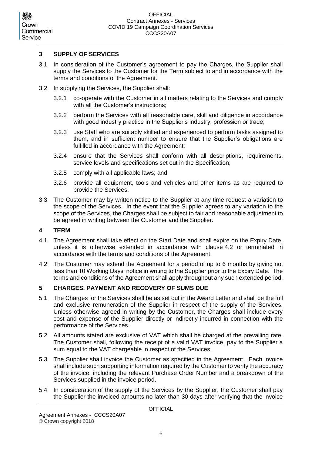### <span id="page-5-0"></span>**3 SUPPLY OF SERVICES**

- 3.1 In consideration of the Customer's agreement to pay the Charges, the Supplier shall supply the Services to the Customer for the Term subject to and in accordance with the terms and conditions of the Agreement.
- <span id="page-5-5"></span>3.2 In supplying the Services, the Supplier shall:
	- 3.2.1 co-operate with the Customer in all matters relating to the Services and comply with all the Customer's instructions;
	- 3.2.2 perform the Services with all reasonable care, skill and diligence in accordance with good industry practice in the Supplier's industry, profession or trade;
	- 3.2.3 use Staff who are suitably skilled and experienced to perform tasks assigned to them, and in sufficient number to ensure that the Supplier's obligations are fulfilled in accordance with the Agreement;
	- 3.2.4 ensure that the Services shall conform with all descriptions, requirements, service levels and specifications set out in the Specification;
	- 3.2.5 comply with all applicable laws; and
	- 3.2.6 provide all equipment, tools and vehicles and other items as are required to provide the Services.
- <span id="page-5-4"></span>3.3 The Customer may by written notice to the Supplier at any time request a variation to the scope of the Services. In the event that the Supplier agrees to any variation to the scope of the Services, the Charges shall be subject to fair and reasonable adjustment to be agreed in writing between the Customer and the Supplier.

#### <span id="page-5-1"></span>**4 TERM**

- 4.1 The Agreement shall take effect on the Start Date and shall expire on the Expiry Date, unless it is otherwise extended in accordance with clause [4.2](#page-5-3) or terminated in accordance with the terms and conditions of the Agreement.
- <span id="page-5-3"></span>4.2 The Customer may extend the Agreement for a period of up to 6 months by giving not less than 10 Working Days' notice in writing to the Supplier prior to the Expiry Date. The terms and conditions of the Agreement shall apply throughout any such extended period.

### <span id="page-5-2"></span>**5 CHARGES, PAYMENT AND RECOVERY OF SUMS DUE**

- 5.1 The Charges for the Services shall be as set out in the Award Letter and shall be the full and exclusive remuneration of the Supplier in respect of the supply of the Services. Unless otherwise agreed in writing by the Customer, the Charges shall include every cost and expense of the Supplier directly or indirectly incurred in connection with the performance of the Services.
- 5.2 All amounts stated are exclusive of VAT which shall be charged at the prevailing rate. The Customer shall, following the receipt of a valid VAT invoice, pay to the Supplier a sum equal to the VAT chargeable in respect of the Services.
- 5.3 The Supplier shall invoice the Customer as specified in the Agreement. Each invoice shall include such supporting information required by the Customer to verify the accuracy of the invoice, including the relevant Purchase Order Number and a breakdown of the Services supplied in the invoice period.
- 5.4 In consideration of the supply of the Services by the Supplier, the Customer shall pay the Supplier the invoiced amounts no later than 30 days after verifying that the invoice

**OFFICIAL** 

Crown Commercial Service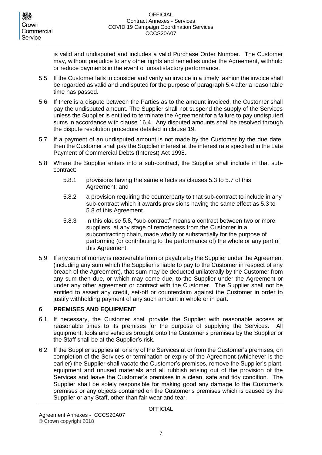is valid and undisputed and includes a valid Purchase Order Number. The Customer may, without prejudice to any other rights and remedies under the Agreement, withhold or reduce payments in the event of unsatisfactory performance.

- 5.5 If the Customer fails to consider and verify an invoice in a timely fashion the invoice shall be regarded as valid and undisputed for the purpose of paragraph 5.4 after a reasonable time has passed.
- 5.6 If there is a dispute between the Parties as to the amount invoiced, the Customer shall pay the undisputed amount. The Supplier shall not suspend the supply of the Services unless the Supplier is entitled to terminate the Agreement for a failure to pay undisputed sums in accordance with clause [16.4.](#page-12-2) Any disputed amounts shall be resolved through the dispute resolution procedure detailed in clause [19.](#page-14-0)
- 5.7 If a payment of an undisputed amount is not made by the Customer by the due date, then the Customer shall pay the Supplier interest at the interest rate specified in the Late Payment of Commercial Debts (Interest) Act 1998.
- 5.8 Where the Supplier enters into a sub-contract, the Supplier shall include in that subcontract:
	- 5.8.1 provisions having the same effects as clauses 5.3 to 5.7 of this Agreement; and
	- 5.8.2 a provision requiring the counterparty to that sub-contract to include in any sub-contract which it awards provisions having the same effect as 5.3 to 5.8 of this Agreement.
	- 5.8.3 In this clause 5.8, "sub-contract" means a contract between two or more suppliers, at any stage of remoteness from the Customer in a subcontracting chain, made wholly or substantially for the purpose of performing (or contributing to the performance of) the whole or any part of this Agreement.
- 5.9 If any sum of money is recoverable from or payable by the Supplier under the Agreement (including any sum which the Supplier is liable to pay to the Customer in respect of any breach of the Agreement), that sum may be deducted unilaterally by the Customer from any sum then due, or which may come due, to the Supplier under the Agreement or under any other agreement or contract with the Customer. The Supplier shall not be entitled to assert any credit, set-off or counterclaim against the Customer in order to justify withholding payment of any such amount in whole or in part.

### <span id="page-6-0"></span>**6 PREMISES AND EQUIPMENT**

- <span id="page-6-1"></span>6.1 If necessary, the Customer shall provide the Supplier with reasonable access at reasonable times to its premises for the purpose of supplying the Services. All equipment, tools and vehicles brought onto the Customer's premises by the Supplier or the Staff shall be at the Supplier's risk.
- <span id="page-6-2"></span>6.2 If the Supplier supplies all or any of the Services at or from the Customer's premises, on completion of the Services or termination or expiry of the Agreement (whichever is the earlier) the Supplier shall vacate the Customer's premises, remove the Supplier's plant, equipment and unused materials and all rubbish arising out of the provision of the Services and leave the Customer's premises in a clean, safe and tidy condition. The Supplier shall be solely responsible for making good any damage to the Customer's premises or any objects contained on the Customer's premises which is caused by the Supplier or any Staff, other than fair wear and tear.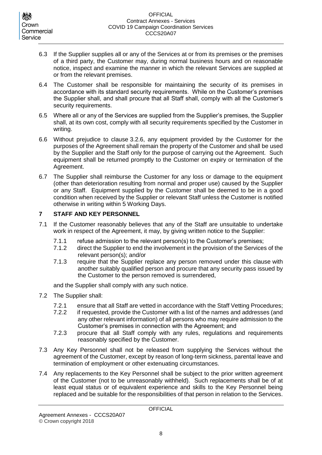- 6.3 If the Supplier supplies all or any of the Services at or from its premises or the premises of a third party, the Customer may, during normal business hours and on reasonable notice, inspect and examine the manner in which the relevant Services are supplied at or from the relevant premises.
- 6.4 The Customer shall be responsible for maintaining the security of its premises in accordance with its standard security requirements. While on the Customer's premises the Supplier shall, and shall procure that all Staff shall, comply with all the Customer's security requirements.
- 6.5 Where all or any of the Services are supplied from the Supplier's premises, the Supplier shall, at its own cost, comply with all security requirements specified by the Customer in writing.
- <span id="page-7-2"></span>6.6 Without prejudice to clause [3.2.6,](#page-5-4) any equipment provided by the Customer for the purposes of the Agreement shall remain the property of the Customer and shall be used by the Supplier and the Staff only for the purpose of carrying out the Agreement. Such equipment shall be returned promptly to the Customer on expiry or termination of the Agreement.
- <span id="page-7-3"></span>6.7 The Supplier shall reimburse the Customer for any loss or damage to the equipment (other than deterioration resulting from normal and proper use) caused by the Supplier or any Staff. Equipment supplied by the Customer shall be deemed to be in a good condition when received by the Supplier or relevant Staff unless the Customer is notified otherwise in writing within 5 Working Days.

## <span id="page-7-0"></span>**7 STAFF AND KEY PERSONNEL**

- 7.1 If the Customer reasonably believes that any of the Staff are unsuitable to undertake work in respect of the Agreement, it may, by giving written notice to the Supplier:
	- 7.1.1 refuse admission to the relevant person(s) to the Customer's premises;
	- 7.1.2 direct the Supplier to end the involvement in the provision of the Services of the relevant person(s); and/or
	- 7.1.3 require that the Supplier replace any person removed under this clause with another suitably qualified person and procure that any security pass issued by the Customer to the person removed is surrendered,

and the Supplier shall comply with any such notice.

- <span id="page-7-1"></span>7.2 The Supplier shall:
	- 7.2.1 ensure that all Staff are vetted in accordance with the Staff Vetting Procedures;
	- 7.2.2 if requested, provide the Customer with a list of the names and addresses (and any other relevant information) of all persons who may require admission to the Customer's premises in connection with the Agreement; and
	- 7.2.3 procure that all Staff comply with any rules, regulations and requirements reasonably specified by the Customer.
- 7.3 Any Key Personnel shall not be released from supplying the Services without the agreement of the Customer, except by reason of long-term sickness, parental leave and termination of employment or other extenuating circumstances.
- 7.4 Any replacements to the Key Personnel shall be subject to the prior written agreement of the Customer (not to be unreasonably withheld). Such replacements shall be of at least equal status or of equivalent experience and skills to the Key Personnel being replaced and be suitable for the responsibilities of that person in relation to the Services.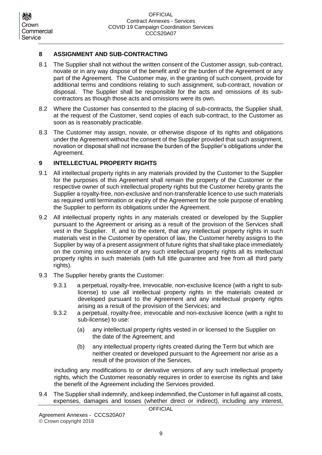## <span id="page-8-0"></span>**8 ASSIGNMENT AND SUB-CONTRACTING**

- 8.1 The Supplier shall not without the written consent of the Customer assign, sub-contract, novate or in any way dispose of the benefit and/ or the burden of the Agreement or any part of the Agreement. The Customer may, in the granting of such consent, provide for additional terms and conditions relating to such assignment, sub-contract, novation or disposal. The Supplier shall be responsible for the acts and omissions of its subcontractors as though those acts and omissions were its own.
- 8.2 Where the Customer has consented to the placing of sub-contracts, the Supplier shall, at the request of the Customer, send copies of each sub-contract, to the Customer as soon as is reasonably practicable.
- 8.3 The Customer may assign, novate, or otherwise dispose of its rights and obligations under the Agreement without the consent of the Supplier provided that such assignment, novation or disposal shall not increase the burden of the Supplier's obligations under the Agreement.

## <span id="page-8-1"></span>**9 INTELLECTUAL PROPERTY RIGHTS**

- 9.1 All intellectual property rights in any materials provided by the Customer to the Supplier for the purposes of this Agreement shall remain the property of the Customer or the respective owner of such intellectual property rights but the Customer hereby grants the Supplier a royalty-free, non-exclusive and non-transferable licence to use such materials as required until termination or expiry of the Agreement for the sole purpose of enabling the Supplier to perform its obligations under the Agreement.
- 9.2 All intellectual property rights in any materials created or developed by the Supplier pursuant to the Agreement or arising as a result of the provision of the Services shall vest in the Supplier. If, and to the extent, that any intellectual property rights in such materials vest in the Customer by operation of law, the Customer hereby assigns to the Supplier by way of a present assignment of future rights that shall take place immediately on the coming into existence of any such intellectual property rights all its intellectual property rights in such materials (with full title guarantee and free from all third party rights).
- 9.3 The Supplier hereby grants the Customer:
	- 9.3.1 a perpetual, royalty-free, irrevocable, non-exclusive licence (with a right to sublicense) to use all intellectual property rights in the materials created or developed pursuant to the Agreement and any intellectual property rights arising as a result of the provision of the Services; and
	- 9.3.2 a perpetual, royalty-free, irrevocable and non-exclusive licence (with a right to sub-license) to use:
		- (a) any intellectual property rights vested in or licensed to the Supplier on the date of the Agreement; and
		- (b) any intellectual property rights created during the Term but which are neither created or developed pursuant to the Agreement nor arise as a result of the provision of the Services,

including any modifications to or derivative versions of any such intellectual property rights, which the Customer reasonably requires in order to exercise its rights and take the benefit of the Agreement including the Services provided.

<span id="page-8-2"></span>9.4 The Supplier shall indemnify, and keep indemnified, the Customer in full against all costs, expenses, damages and losses (whether direct or indirect), including any interest,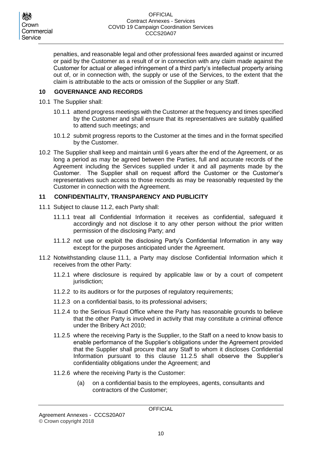penalties, and reasonable legal and other professional fees awarded against or incurred or paid by the Customer as a result of or in connection with any claim made against the Customer for actual or alleged infringement of a third party's intellectual property arising out of, or in connection with, the supply or use of the Services, to the extent that the claim is attributable to the acts or omission of the Supplier or any Staff.

### <span id="page-9-0"></span>**10 GOVERNANCE AND RECORDS**

- 10.1 The Supplier shall:
	- 10.1.1 attend progress meetings with the Customer at the frequency and times specified by the Customer and shall ensure that its representatives are suitably qualified to attend such meetings; and
	- 10.1.2 submit progress reports to the Customer at the times and in the format specified by the Customer.
- <span id="page-9-5"></span>10.2 The Supplier shall keep and maintain until 6 years after the end of the Agreement, or as long a period as may be agreed between the Parties, full and accurate records of the Agreement including the Services supplied under it and all payments made by the Customer. The Supplier shall on request afford the Customer or the Customer's representatives such access to those records as may be reasonably requested by the Customer in connection with the Agreement.

### <span id="page-9-1"></span>**11 CONFIDENTIALITY, TRANSPARENCY AND PUBLICITY**

- <span id="page-9-3"></span>11.1 Subject to clause [11.2,](#page-9-2) each Party shall:
	- 11.1.1 treat all Confidential Information it receives as confidential, safeguard it accordingly and not disclose it to any other person without the prior written permission of the disclosing Party; and
	- 11.1.2 not use or exploit the disclosing Party's Confidential Information in any way except for the purposes anticipated under the Agreement.
- <span id="page-9-4"></span><span id="page-9-2"></span>11.2 Notwithstanding clause [11.1,](#page-9-3) a Party may disclose Confidential Information which it receives from the other Party:
	- 11.2.1 where disclosure is required by applicable law or by a court of competent jurisdiction;
	- 11.2.2 to its auditors or for the purposes of regulatory requirements;
	- 11.2.3 on a confidential basis, to its professional advisers;
	- 11.2.4 to the Serious Fraud Office where the Party has reasonable grounds to believe that the other Party is involved in activity that may constitute a criminal offence under the Bribery Act 2010;
	- 11.2.5 where the receiving Party is the Supplier, to the Staff on a need to know basis to enable performance of the Supplier's obligations under the Agreement provided that the Supplier shall procure that any Staff to whom it discloses Confidential Information pursuant to this clause [11.2.5](#page-9-4) shall observe the Supplier's confidentiality obligations under the Agreement; and
	- 11.2.6 where the receiving Party is the Customer:
		- (a) on a confidential basis to the employees, agents, consultants and contractors of the Customer;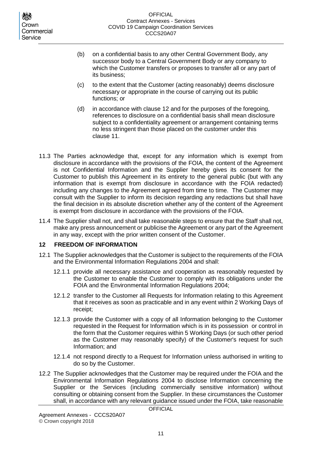- (b) on a confidential basis to any other Central Government Body, any successor body to a Central Government Body or any company to which the Customer transfers or proposes to transfer all or any part of its business;
- (c) to the extent that the Customer (acting reasonably) deems disclosure necessary or appropriate in the course of carrying out its public functions; or
- (d) in accordance with clause [12](#page-10-0) and for the purposes of the foregoing, references to disclosure on a confidential basis shall mean disclosure subject to a confidentiality agreement or arrangement containing terms no less stringent than those placed on the customer under this clause 11.
- 11.3 The Parties acknowledge that, except for any information which is exempt from disclosure in accordance with the provisions of the FOIA, the content of the Agreement is not Confidential Information and the Supplier hereby gives its consent for the Customer to publish this Agreement in its entirety to the general public (but with any information that is exempt from disclosure in accordance with the FOIA redacted) including any changes to the Agreement agreed from time to time. The Customer may consult with the Supplier to inform its decision regarding any redactions but shall have the final decision in its absolute discretion whether any of the content of the Agreement is exempt from disclosure in accordance with the provisions of the FOIA.
- 11.4 The Supplier shall not, and shall take reasonable steps to ensure that the Staff shall not, make any press announcement or publicise the Agreement or any part of the Agreement in any way, except with the prior written consent of the Customer.

## <span id="page-10-0"></span>**12 FREEDOM OF INFORMATION**

- 12.1 The Supplier acknowledges that the Customer is subject to the requirements of the FOIA and the Environmental Information Regulations 2004 and shall:
	- 12.1.1 provide all necessary assistance and cooperation as reasonably requested by the Customer to enable the Customer to comply with its obligations under the FOIA and the Environmental Information Regulations 2004;
	- 12.1.2 transfer to the Customer all Requests for Information relating to this Agreement that it receives as soon as practicable and in any event within 2 Working Days of receipt;
	- 12.1.3 provide the Customer with a copy of all Information belonging to the Customer requested in the Request for Information which is in its possession or control in the form that the Customer requires within 5 Working Days (or such other period as the Customer may reasonably specify) of the Customer's request for such Information; and
	- 12.1.4 not respond directly to a Request for Information unless authorised in writing to do so by the Customer.
- 12.2 The Supplier acknowledges that the Customer may be required under the FOIA and the Environmental Information Regulations 2004 to disclose Information concerning the Supplier or the Services (including commercially sensitive information) without consulting or obtaining consent from the Supplier. In these circumstances the Customer shall, in accordance with any relevant guidance issued under the FOIA, take reasonable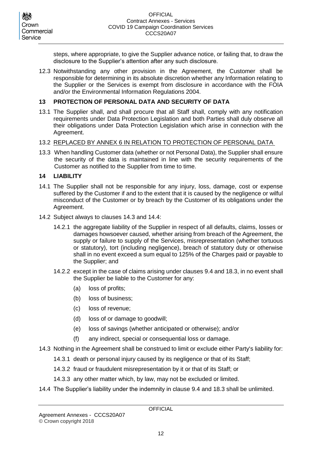steps, where appropriate, to give the Supplier advance notice, or failing that, to draw the disclosure to the Supplier's attention after any such disclosure.

12.3 Notwithstanding any other provision in the Agreement, the Customer shall be responsible for determining in its absolute discretion whether any Information relating to the Supplier or the Services is exempt from disclosure in accordance with the FOIA and/or the Environmental Information Regulations 2004.

### <span id="page-11-0"></span>**13 PROTECTION OF PERSONAL DATA AND SECURITY OF DATA**

13.1 The Supplier shall, and shall procure that all Staff shall, comply with any notification requirements under Data Protection Legislation and both Parties shall duly observe all their obligations under Data Protection Legislation which arise in connection with the Agreement.

### 13.2 REPLACED BY ANNEX 6 IN RELATION TO PROTECTION OF PERSONAL DATA

13.3 When handling Customer data (whether or not Personal Data), the Supplier shall ensure the security of the data is maintained in line with the security requirements of the Customer as notified to the Supplier from time to time.

### <span id="page-11-1"></span>**14 LIABILITY**

- 14.1 The Supplier shall not be responsible for any injury, loss, damage, cost or expense suffered by the Customer if and to the extent that it is caused by the negligence or wilful misconduct of the Customer or by breach by the Customer of its obligations under the Agreement.
- 14.2 Subject always to clauses [14.3](#page-11-2) and [14.4:](#page-11-3)
	- 14.2.1 the aggregate liability of the Supplier in respect of all defaults, claims, losses or damages howsoever caused, whether arising from breach of the Agreement, the supply or failure to supply of the Services, misrepresentation (whether tortuous or statutory), tort (including negligence), breach of statutory duty or otherwise shall in no event exceed a sum equal to 125% of the Charges paid or payable to the Supplier; and
	- 14.2.2 except in the case of claims arising under clauses [9.4](#page-8-2) an[d 18.3,](#page-13-2) in no event shall the Supplier be liable to the Customer for any:
		- (a) loss of profits;
		- (b) loss of business;
		- (c) loss of revenue;
		- (d) loss of or damage to goodwill;
		- (e) loss of savings (whether anticipated or otherwise); and/or
		- (f) any indirect, special or consequential loss or damage.
- <span id="page-11-2"></span>14.3 Nothing in the Agreement shall be construed to limit or exclude either Party's liability for:
	- 14.3.1 death or personal injury caused by its negligence or that of its Staff;
	- 14.3.2 fraud or fraudulent misrepresentation by it or that of its Staff; or
	- 14.3.3 any other matter which, by law, may not be excluded or limited.
- <span id="page-11-3"></span>14.4 The Supplier's liability under the indemnity in clause [9.4](#page-8-2) and [18.3](#page-13-2) shall be unlimited.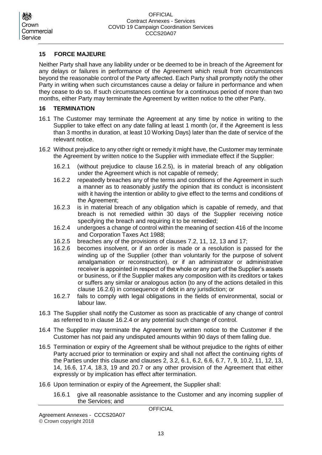## Crown Commercial Service

### <span id="page-12-0"></span>**15 FORCE MAJEURE**

Neither Party shall have any liability under or be deemed to be in breach of the Agreement for any delays or failures in performance of the Agreement which result from circumstances beyond the reasonable control of the Party affected. Each Party shall promptly notify the other Party in writing when such circumstances cause a delay or failure in performance and when they cease to do so. If such circumstances continue for a continuous period of more than two months, either Party may terminate the Agreement by written notice to the other Party.

### <span id="page-12-1"></span>**16 TERMINATION**

- 16.1 The Customer may terminate the Agreement at any time by notice in writing to the Supplier to take effect on any date falling at least 1 month (or, if the Agreement is less than 3 months in duration, at least 10 Working Days) later than the date of service of the relevant notice.
- <span id="page-12-5"></span>16.2 Without prejudice to any other right or remedy it might have, the Customer may terminate the Agreement by written notice to the Supplier with immediate effect if the Supplier:
	- 16.2.1 (without prejudice to clause [16.2.5\)](#page-12-3), is in material breach of any obligation under the Agreement which is not capable of remedy;
	- 16.2.2 repeatedly breaches any of the terms and conditions of the Agreement in such a manner as to reasonably justify the opinion that its conduct is inconsistent with it having the intention or ability to give effect to the terms and conditions of the Agreement;
	- 16.2.3 is in material breach of any obligation which is capable of remedy, and that breach is not remedied within 30 days of the Supplier receiving notice specifying the breach and requiring it to be remedied;
	- 16.2.4 undergoes a change of control within the meaning of section 416 of the Income and Corporation Taxes Act 1988;
	- 16.2.5 breaches any of the provisions of clauses [7.2,](#page-7-1) [11,](#page-9-1) [12,](#page-10-0) [13](#page-11-0) and [17;](#page-13-0)
	- 16.2.6 becomes insolvent, or if an order is made or a resolution is passed for the winding up of the Supplier (other than voluntarily for the purpose of solvent amalgamation or reconstruction), or if an administrator or administrative receiver is appointed in respect of the whole or any part of the Supplier's assets or business, or if the Supplier makes any composition with its creditors or takes or suffers any similar or analogous action (to any of the actions detailed in this clause [16.2.6\)](#page-12-4) in consequence of debt in any jurisdiction; or
	- 16.2.7 fails to comply with legal obligations in the fields of environmental, social or labour law.
- <span id="page-12-4"></span><span id="page-12-3"></span>16.3 The Supplier shall notify the Customer as soon as practicable of any change of control as referred to in clause [16.2.4](#page-12-5) or any potential such change of control.
- <span id="page-12-2"></span>16.4 The Supplier may terminate the Agreement by written notice to the Customer if the Customer has not paid any undisputed amounts within 90 days of them falling due.
- 16.5 Termination or expiry of the Agreement shall be without prejudice to the rights of either Party accrued prior to termination or expiry and shall not affect the continuing rights of the Parties under this clause and clauses [2,](#page-4-0) [3.2,](#page-5-5) [6.1,](#page-6-1) [6.2,](#page-6-2) [6.6,](#page-7-2) [6.7,](#page-7-3) [7,](#page-7-0) [9,](#page-8-1) [10.2,](#page-9-5) [11,](#page-9-1) [12,](#page-10-0) [13,](#page-11-0) [14,](#page-11-1) [16.6,](#page-12-6) [17.4,](#page-13-3) [18.3,](#page-13-2) [19](#page-14-0) and [20.7](#page-14-2) or any other provision of the Agreement that either expressly or by implication has effect after termination.
- <span id="page-12-6"></span>16.6 Upon termination or expiry of the Agreement, the Supplier shall:
	- 16.6.1 give all reasonable assistance to the Customer and any incoming supplier of the Services; and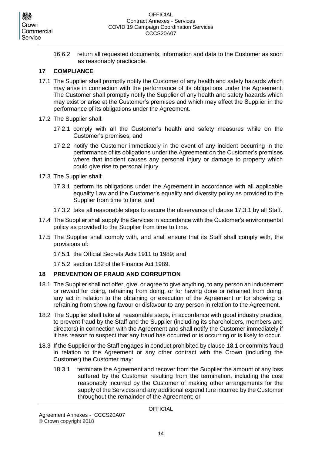16.6.2 return all requested documents, information and data to the Customer as soon as reasonably practicable.

### <span id="page-13-0"></span>**17 COMPLIANCE**

- 17.1 The Supplier shall promptly notify the Customer of any health and safety hazards which may arise in connection with the performance of its obligations under the Agreement. The Customer shall promptly notify the Supplier of any health and safety hazards which may exist or arise at the Customer's premises and which may affect the Supplier in the performance of its obligations under the Agreement.
- 17.2 The Supplier shall:
	- 17.2.1 comply with all the Customer's health and safety measures while on the Customer's premises; and
	- 17.2.2 notify the Customer immediately in the event of any incident occurring in the performance of its obligations under the Agreement on the Customer's premises where that incident causes any personal injury or damage to property which could give rise to personal injury.
- <span id="page-13-4"></span>17.3 The Supplier shall:
	- 17.3.1 perform its obligations under the Agreement in accordance with all applicable equality Law and the Customer's equality and diversity policy as provided to the Supplier from time to time; and
	- 17.3.2 take all reasonable steps to secure the observance of clause [17.3.1](#page-13-4) by all Staff.
- <span id="page-13-3"></span>17.4 The Supplier shall supply the Services in accordance with the Customer's environmental policy as provided to the Supplier from time to time.
- 17.5 The Supplier shall comply with, and shall ensure that its Staff shall comply with, the provisions of:
	- 17.5.1 the Official Secrets Acts 1911 to 1989; and
	- 17.5.2 section 182 of the Finance Act 1989.

## <span id="page-13-1"></span>**18 PREVENTION OF FRAUD AND CORRUPTION**

- <span id="page-13-5"></span>18.1 The Supplier shall not offer, give, or agree to give anything, to any person an inducement or reward for doing, refraining from doing, or for having done or refrained from doing, any act in relation to the obtaining or execution of the Agreement or for showing or refraining from showing favour or disfavour to any person in relation to the Agreement.
- 18.2 The Supplier shall take all reasonable steps, in accordance with good industry practice, to prevent fraud by the Staff and the Supplier (including its shareholders, members and directors) in connection with the Agreement and shall notify the Customer immediately if it has reason to suspect that any fraud has occurred or is occurring or is likely to occur.
- <span id="page-13-2"></span>18.3 If the Supplier or the Staff engages in conduct prohibited by clause [18.1](#page-13-5) or commits fraud in relation to the Agreement or any other contract with the Crown (including the Customer) the Customer may:
	- 18.3.1 terminate the Agreement and recover from the Supplier the amount of any loss suffered by the Customer resulting from the termination, including the cost reasonably incurred by the Customer of making other arrangements for the supply of the Services and any additional expenditure incurred by the Customer throughout the remainder of the Agreement; or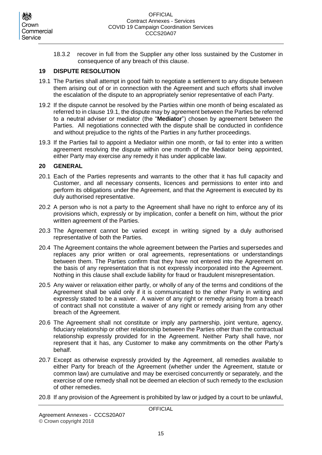18.3.2 recover in full from the Supplier any other loss sustained by the Customer in consequence of any breach of this clause.

### <span id="page-14-0"></span>**19 DISPUTE RESOLUTION**

- <span id="page-14-3"></span>19.1 The Parties shall attempt in good faith to negotiate a settlement to any dispute between them arising out of or in connection with the Agreement and such efforts shall involve the escalation of the dispute to an appropriately senior representative of each Party.
- 19.2 If the dispute cannot be resolved by the Parties within one month of being escalated as referred to in clause [19.1,](#page-14-3) the dispute may by agreement between the Parties be referred to a neutral adviser or mediator (the "**Mediator**") chosen by agreement between the Parties. All negotiations connected with the dispute shall be conducted in confidence and without prejudice to the rights of the Parties in any further proceedings.
- 19.3 If the Parties fail to appoint a Mediator within one month, or fail to enter into a written agreement resolving the dispute within one month of the Mediator being appointed, either Party may exercise any remedy it has under applicable law.

### <span id="page-14-1"></span>**20 GENERAL**

- 20.1 Each of the Parties represents and warrants to the other that it has full capacity and Customer, and all necessary consents, licences and permissions to enter into and perform its obligations under the Agreement, and that the Agreement is executed by its duly authorised representative.
- 20.2 A person who is not a party to the Agreement shall have no right to enforce any of its provisions which, expressly or by implication, confer a benefit on him, without the prior written agreement of the Parties.
- 20.3 The Agreement cannot be varied except in writing signed by a duly authorised representative of both the Parties.
- 20.4 The Agreement contains the whole agreement between the Parties and supersedes and replaces any prior written or oral agreements, representations or understandings between them. The Parties confirm that they have not entered into the Agreement on the basis of any representation that is not expressly incorporated into the Agreement. Nothing in this clause shall exclude liability for fraud or fraudulent misrepresentation.
- 20.5 Any waiver or relaxation either partly, or wholly of any of the terms and conditions of the Agreement shall be valid only if it is communicated to the other Party in writing and expressly stated to be a waiver. A waiver of any right or remedy arising from a breach of contract shall not constitute a waiver of any right or remedy arising from any other breach of the Agreement.
- 20.6 The Agreement shall not constitute or imply any partnership, joint venture, agency, fiduciary relationship or other relationship between the Parties other than the contractual relationship expressly provided for in the Agreement. Neither Party shall have, nor represent that it has, any Customer to make any commitments on the other Party's behalf.
- <span id="page-14-2"></span>20.7 Except as otherwise expressly provided by the Agreement, all remedies available to either Party for breach of the Agreement (whether under the Agreement, statute or common law) are cumulative and may be exercised concurrently or separately, and the exercise of one remedy shall not be deemed an election of such remedy to the exclusion of other remedies.
- 20.8 If any provision of the Agreement is prohibited by law or judged by a court to be unlawful,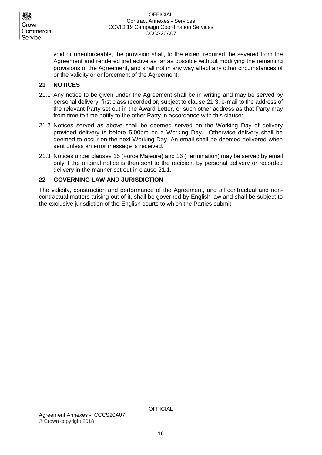void or unenforceable, the provision shall, to the extent required, be severed from the Agreement and rendered ineffective as far as possible without modifying the remaining provisions of the Agreement, and shall not in any way affect any other circumstances of or the validity or enforcement of the Agreement.

## <span id="page-15-0"></span>**21 NOTICES**

- <span id="page-15-3"></span>21.1 Any notice to be given under the Agreement shall be in writing and may be served by personal delivery, first class recorded or, subject to clause [21.3,](#page-15-2) e-mail to the address of the relevant Party set out in the Award Letter, or such other address as that Party may from time to time notify to the other Party in accordance with this clause:
- 21.2 Notices served as above shall be deemed served on the Working Day of delivery provided delivery is before 5.00pm on a Working Day. Otherwise delivery shall be deemed to occur on the next Working Day. An email shall be deemed delivered when sent unless an error message is received.
- <span id="page-15-2"></span>21.3 Notices under clauses [15](#page-12-0) (Force Majeure) and [16](#page-12-1) (Termination) may be served by email only if the original notice is then sent to the recipient by personal delivery or recorded delivery in the manner set out in clause [21.1.](#page-15-3)

## <span id="page-15-1"></span>**22 GOVERNING LAW AND JURISDICTION**

The validity, construction and performance of the Agreement, and all contractual and noncontractual matters arising out of it, shall be governed by English law and shall be subject to the exclusive jurisdiction of the English courts to which the Parties submit.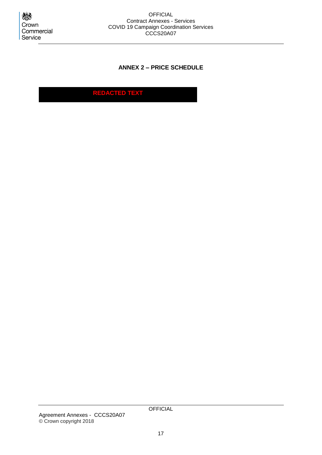<span id="page-16-0"></span>

## **ANNEX 2 – PRICE SCHEDULE**

**REDACTED TEXT**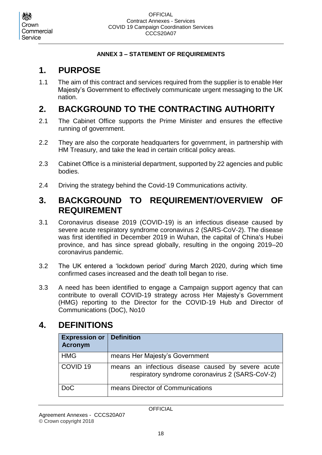## **ANNEX 3 – STATEMENT OF REQUIREMENTS**

## <span id="page-17-1"></span><span id="page-17-0"></span>**1. PURPOSE**

1.1 The aim of this contract and services required from the supplier is to enable Her Majesty's Government to effectively communicate urgent messaging to the UK nation.

## <span id="page-17-2"></span>**2. BACKGROUND TO THE CONTRACTING AUTHORITY**

- 2.1 The Cabinet Office supports the Prime Minister and ensures the effective running of government.
- 2.2 They are also the corporate headquarters for government, in partnership with HM Treasury, and take the lead in certain critical policy areas.
- 2.3 Cabinet Office is a ministerial department, supported by 22 agencies and public bodies.
- 2.4 Driving the strategy behind the Covid-19 Communications activity.

## <span id="page-17-3"></span>**3. BACKGROUND TO REQUIREMENT/OVERVIEW OF REQUIREMENT**

- 3.1 Coronavirus disease 2019 (COVID-19) is an infectious disease caused by severe acute respiratory syndrome coronavirus 2 (SARS-CoV-2). The disease was first identified in December 2019 in Wuhan, the capital of China's Hubei province, and has since spread globally, resulting in the ongoing 2019–20 coronavirus pandemic.
- 3.2 The UK entered a 'lockdown period' during March 2020, during which time confirmed cases increased and the death toll began to rise.
- 3.3 A need has been identified to engage a Campaign support agency that can contribute to overall COVID-19 strategy across Her Majesty's Government (HMG) reporting to the Director for the COVID-19 Hub and Director of Communications (DoC), No10

## <span id="page-17-4"></span>**4. DEFINITIONS**

| <b>Expression or</b><br><b>Acronym</b> | <b>Definition</b>                                                                                     |
|----------------------------------------|-------------------------------------------------------------------------------------------------------|
| <b>HMG</b>                             | means Her Majesty's Government                                                                        |
| COVID <sub>19</sub>                    | means an infectious disease caused by severe acute<br>respiratory syndrome coronavirus 2 (SARS-CoV-2) |
| <b>DoC</b>                             | means Director of Communications                                                                      |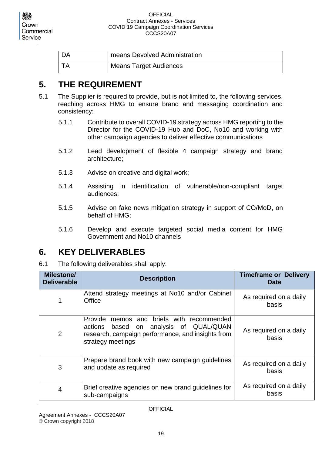#### **OFFICIAL** Contract Annexes - Services COVID 19 Campaign Coordination Services CCCS20A07

| l DA | means Devolved Administration |
|------|-------------------------------|
|      | Means Target Audiences        |

## <span id="page-18-0"></span>**5. THE REQUIREMENT**

- 5.1 The Supplier is required to provide, but is not limited to, the following services, reaching across HMG to ensure brand and messaging coordination and consistency:
	- 5.1.1 Contribute to overall COVID-19 strategy across HMG reporting to the Director for the COVID-19 Hub and DoC, No10 and working with other campaign agencies to deliver effective communications
	- 5.1.2 Lead development of flexible 4 campaign strategy and brand architecture;
	- 5.1.3 Advise on creative and digital work;
	- 5.1.4 Assisting in identification of vulnerable/non-compliant target audiences;
	- 5.1.5 Advise on fake news mitigation strategy in support of CO/MoD, on behalf of HMG;
	- 5.1.6 Develop and execute targeted social media content for HMG Government and No10 channels

## <span id="page-18-1"></span>**6. KEY DELIVERABLES**

6.1 The following deliverables shall apply:

| <b>Milestone/</b><br><b>Deliverable</b> | <b>Description</b>                                                                                                                                                  | <b>Timeframe or Delivery</b><br><b>Date</b> |
|-----------------------------------------|---------------------------------------------------------------------------------------------------------------------------------------------------------------------|---------------------------------------------|
|                                         | Attend strategy meetings at No10 and/or Cabinet<br>Office                                                                                                           | As required on a daily<br>basis             |
| 2                                       | memos and briefs with recommended<br>Provide<br>based on analysis of QUAL/QUAN<br>actions<br>research, campaign performance, and insights from<br>strategy meetings | As required on a daily<br>basis             |
| 3                                       | Prepare brand book with new campaign guidelines<br>and update as required                                                                                           | As required on a daily<br>basis             |
| 4                                       | Brief creative agencies on new brand guidelines for<br>sub-campaigns                                                                                                | As required on a daily<br>basis             |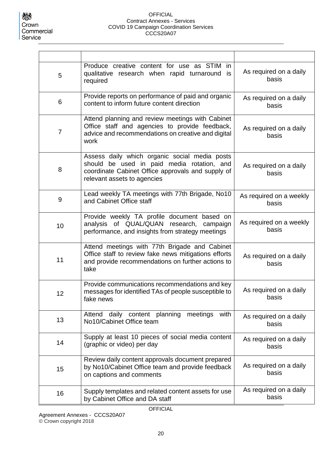| 5  | Produce creative content for use as STIM in<br>qualitative research when rapid turnaround is<br>required                                                                        | As required on a daily<br>basis  |
|----|---------------------------------------------------------------------------------------------------------------------------------------------------------------------------------|----------------------------------|
| 6  | Provide reports on performance of paid and organic<br>content to inform future content direction                                                                                | As required on a daily<br>basis  |
| 7  | Attend planning and review meetings with Cabinet<br>Office staff and agencies to provide feedback,<br>advice and recommendations on creative and digital<br>work                | As required on a daily<br>basis  |
| 8  | Assess daily which organic social media posts<br>should be used in paid media rotation, and<br>coordinate Cabinet Office approvals and supply of<br>relevant assets to agencies | As required on a daily<br>basis  |
| 9  | Lead weekly TA meetings with 77th Brigade, No10<br>and Cabinet Office staff                                                                                                     | As required on a weekly<br>basis |
| 10 | Provide weekly TA profile document based on<br>analysis of QUAL/QUAN research, campaign<br>performance, and insights from strategy meetings                                     | As required on a weekly<br>basis |
| 11 | Attend meetings with 77th Brigade and Cabinet<br>Office staff to review fake news mitigations efforts<br>and provide recommendations on further actions to<br>take              | As required on a daily<br>basis  |
| 12 | Provide communications recommendations and key<br>messages for identified TAs of people susceptible to<br>fake news                                                             | As required on a daily<br>basis  |
| 13 | daily content planning<br>Attend<br>meetings<br>with<br>No10/Cabinet Office team                                                                                                | As required on a daily<br>basis  |
| 14 | Supply at least 10 pieces of social media content<br>(graphic or video) per day                                                                                                 | As required on a daily<br>basis  |
| 15 | Review daily content approvals document prepared<br>by No10/Cabinet Office team and provide feedback<br>on captions and comments                                                | As required on a daily<br>basis  |
| 16 | Supply templates and related content assets for use<br>by Cabinet Office and DA staff                                                                                           | As required on a daily<br>basis  |

**OFFICIAL** Agreement Annexes - CCCS20A07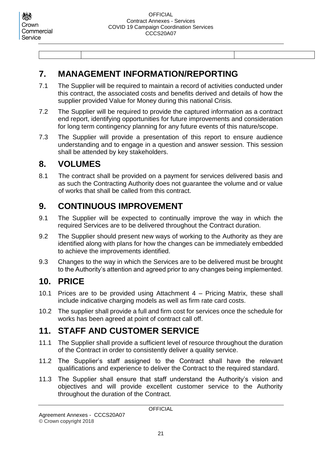## <span id="page-20-0"></span>**7. MANAGEMENT INFORMATION/REPORTING**

- 7.1 The Supplier will be required to maintain a record of activities conducted under this contract, the associated costs and benefits derived and details of how the supplier provided Value for Money during this national Crisis.
- 7.2 The Supplier will be required to provide the captured information as a contract end report, identifying opportunities for future improvements and consideration for long term contingency planning for any future events of this nature/scope.
- 7.3 The Supplier will provide a presentation of this report to ensure audience understanding and to engage in a question and answer session. This session shall be attended by key stakeholders.

## <span id="page-20-1"></span>**8. VOLUMES**

8.1 The contract shall be provided on a payment for services delivered basis and as such the Contracting Authority does not guarantee the volume and or value of works that shall be called from this contract.

## <span id="page-20-2"></span>**9. CONTINUOUS IMPROVEMENT**

- 9.1 The Supplier will be expected to continually improve the way in which the required Services are to be delivered throughout the Contract duration.
- 9.2 The Supplier should present new ways of working to the Authority as they are identified along with plans for how the changes can be immediately embedded to achieve the improvements identified.
- 9.3 Changes to the way in which the Services are to be delivered must be brought to the Authority's attention and agreed prior to any changes being implemented.

## <span id="page-20-3"></span>**10. PRICE**

- 10.1 Prices are to be provided using Attachment 4 Pricing Matrix, these shall include indicative charging models as well as firm rate card costs.
- 10.2 The supplier shall provide a full and firm cost for services once the schedule for works has been agreed at point of contract call off.

## <span id="page-20-4"></span>**11. STAFF AND CUSTOMER SERVICE**

- 11.1 The Supplier shall provide a sufficient level of resource throughout the duration of the Contract in order to consistently deliver a quality service.
- 11.2 The Supplier's staff assigned to the Contract shall have the relevant qualifications and experience to deliver the Contract to the required standard.
- 11.3 The Supplier shall ensure that staff understand the Authority's vision and objectives and will provide excellent customer service to the Authority throughout the duration of the Contract.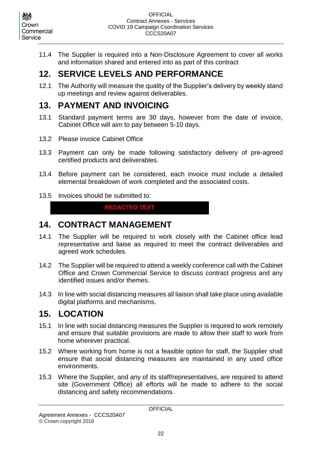11.4 The Supplier is required into a Non-Disclosure Agreement to cover all works and information shared and entered into as part of this contract

## <span id="page-21-0"></span>**12. SERVICE LEVELS AND PERFORMANCE**

12.1 The Authority will measure the quality of the Supplier's delivery by weekly stand up meetings and review against deliverables.

## <span id="page-21-1"></span>**13. PAYMENT AND INVOICING**

- 13.1 Standard payment terms are 30 days, however from the date of invoice, Cabinet Office will aim to pay between 5-10 days.
- 13.2 Please invoice Cabinet Office
- 13.3 Payment can only be made following satisfactory delivery of pre-agreed certified products and deliverables.
- 13.4 Before payment can be considered, each invoice must include a detailed elemental breakdown of work completed and the associated costs.
- 13.5 Invoices should be submitted to:

**REDACTED TEXT** 

## <span id="page-21-2"></span>**14. CONTRACT MANAGEMENT**

- 14.1 The Supplier will be required to work closely with the Cabinet office lead representative and liaise as required to meet the contract deliverables and agreed work schedules.
- 14.2 The Supplier will be required to attend a weekly conference call with the Cabinet Office and Crown Commercial Service to discuss contract progress and any identified issues and/or themes.
- 14.3 In line with social distancing measures all liaison shall take place using available digital platforms and mechanisms.

## <span id="page-21-3"></span>**15. LOCATION**

- 15.1 In line with social distancing measures the Supplier is required to work remotely and ensure that suitable provisions are made to allow their staff to work from home wherever practical.
- 15.2 Where working from home is not a feasible option for staff, the Supplier shall ensure that social distancing measures are maintained in any used office environments.
- 15.3 Where the Supplier, and any of its staff/representatives, are required to attend site (Government Office) all efforts will be made to adhere to the social distancing and safety recommendations.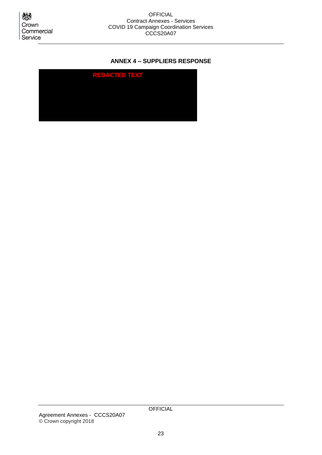心 Crown Commercial Service

## <span id="page-22-0"></span>**ANNEX 4 – SUPPLIERS RESPONSE**

<span id="page-22-3"></span><span id="page-22-2"></span><span id="page-22-1"></span>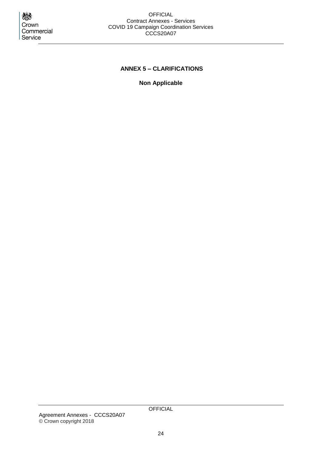Crown Commercial Service

#### OFFICIAL Contract Annexes - Services COVID 19 Campaign Coordination Services CCCS20A07

## <span id="page-23-0"></span>**ANNEX 5 – CLARIFICATIONS**

**Non Applicable**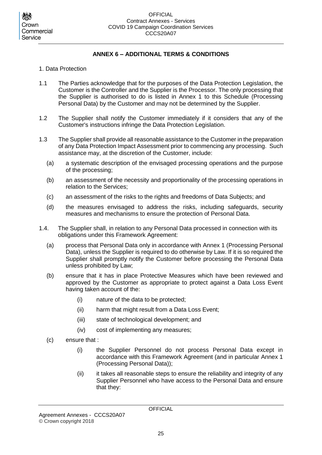## **ANNEX 6 – ADDITIONAL TERMS & CONDITIONS**

- <span id="page-24-0"></span>1. Data Protection
- 1.1 The Parties acknowledge that for the purposes of the Data Protection Legislation, the Customer is the Controller and the Supplier is the Processor. The only processing that the Supplier is authorised to do is listed in Annex 1 to this Schedule (Processing Personal Data) by the Customer and may not be determined by the Supplier.
- 1.2 The Supplier shall notify the Customer immediately if it considers that any of the Customer's instructions infringe the Data Protection Legislation.
- 1.3 The Supplier shall provide all reasonable assistance to the Customer in the preparation of any Data Protection Impact Assessment prior to commencing any processing. Such assistance may, at the discretion of the Customer, include:
	- (a) a systematic description of the envisaged processing operations and the purpose of the processing;
	- (b) an assessment of the necessity and proportionality of the processing operations in relation to the Services;
	- (c) an assessment of the risks to the rights and freedoms of Data Subjects; and
	- (d) the measures envisaged to address the risks, including safeguards, security measures and mechanisms to ensure the protection of Personal Data.
- 1.4. The Supplier shall, in relation to any Personal Data processed in connection with its obligations under this Framework Agreement:
	- (a) process that Personal Data only in accordance with Annex 1 (Processing Personal Data), unless the Supplier is required to do otherwise by Law. If it is so required the Supplier shall promptly notify the Customer before processing the Personal Data unless prohibited by Law;
	- (b) ensure that it has in place Protective Measures which have been reviewed and approved by the Customer as appropriate to protect against a Data Loss Event having taken account of the:
		- (i) nature of the data to be protected;
		- (ii) harm that might result from a Data Loss Event;
		- (iii) state of technological development; and
		- (iv) cost of implementing any measures;
	- (c) ensure that :
		- (i) the Supplier Personnel do not process Personal Data except in accordance with this Framework Agreement (and in particular Annex 1 (Processing Personal Data));
		- (ii) it takes all reasonable steps to ensure the reliability and integrity of any Supplier Personnel who have access to the Personal Data and ensure that they: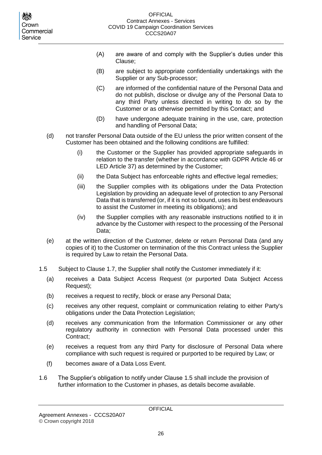- (A) are aware of and comply with the Supplier's duties under this Clause;
- (B) are subject to appropriate confidentiality undertakings with the Supplier or any Sub-processor;
- (C) are informed of the confidential nature of the Personal Data and do not publish, disclose or divulge any of the Personal Data to any third Party unless directed in writing to do so by the Customer or as otherwise permitted by this Contact; and
- (D) have undergone adequate training in the use, care, protection and handling of Personal Data;
- (d) not transfer Personal Data outside of the EU unless the prior written consent of the Customer has been obtained and the following conditions are fulfilled:
	- (i) the Customer or the Supplier has provided appropriate safeguards in relation to the transfer (whether in accordance with GDPR Article 46 or LED Article 37) as determined by the Customer;
	- (ii) the Data Subject has enforceable rights and effective legal remedies;
	- (iii) the Supplier complies with its obligations under the Data Protection Legislation by providing an adequate level of protection to any Personal Data that is transferred (or, if it is not so bound, uses its best endeavours to assist the Customer in meeting its obligations); and
	- (iv) the Supplier complies with any reasonable instructions notified to it in advance by the Customer with respect to the processing of the Personal Data;
- (e) at the written direction of the Customer, delete or return Personal Data (and any copies of it) to the Customer on termination of the this Contract unless the Supplier is required by Law to retain the Personal Data.
- 1.5 Subject to Clause 1.7, the Supplier shall notify the Customer immediately if it:
	- (a) receives a Data Subject Access Request (or purported Data Subject Access Request);
	- (b) receives a request to rectify, block or erase any Personal Data;
	- (c) receives any other request, complaint or communication relating to either Party's obligations under the Data Protection Legislation;
	- (d) receives any communication from the Information Commissioner or any other regulatory authority in connection with Personal Data processed under this Contract;
	- (e) receives a request from any third Party for disclosure of Personal Data where compliance with such request is required or purported to be required by Law; or
	- (f) becomes aware of a Data Loss Event.
- 1.6 The Supplier's obligation to notify under Clause 1.5 shall include the provision of further information to the Customer in phases, as details become available.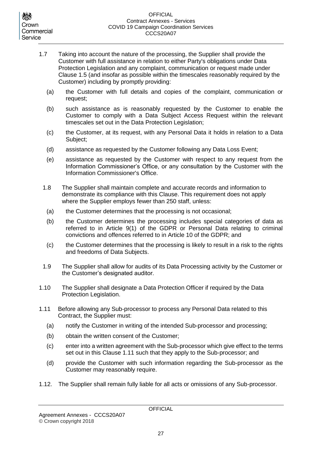- 1.7 Taking into account the nature of the processing, the Supplier shall provide the Customer with full assistance in relation to either Party's obligations under Data Protection Legislation and any complaint, communication or request made under Clause 1.5 (and insofar as possible within the timescales reasonably required by the Customer) including by promptly providing:
	- (a) the Customer with full details and copies of the complaint, communication or request;
	- (b) such assistance as is reasonably requested by the Customer to enable the Customer to comply with a Data Subject Access Request within the relevant timescales set out in the Data Protection Legislation;
	- (c) the Customer, at its request, with any Personal Data it holds in relation to a Data Subject;
	- (d) assistance as requested by the Customer following any Data Loss Event;
	- (e) assistance as requested by the Customer with respect to any request from the Information Commissioner's Office, or any consultation by the Customer with the Information Commissioner's Office.
	- 1.8 The Supplier shall maintain complete and accurate records and information to demonstrate its compliance with this Clause. This requirement does not apply where the Supplier employs fewer than 250 staff, unless:
		- (a) the Customer determines that the processing is not occasional;
		- (b) the Customer determines the processing includes special categories of data as referred to in Article 9(1) of the GDPR or Personal Data relating to criminal convictions and offences referred to in Article 10 of the GDPR; and
		- (c) the Customer determines that the processing is likely to result in a risk to the rights and freedoms of Data Subjects.
	- 1.9 The Supplier shall allow for audits of its Data Processing activity by the Customer or the Customer's designated auditor.
- 1.10 The Supplier shall designate a Data Protection Officer if required by the Data Protection Legislation.
- 1.11 Before allowing any Sub-processor to process any Personal Data related to this Contract, the Supplier must:
	- (a) notify the Customer in writing of the intended Sub-processor and processing;
	- (b) obtain the written consent of the Customer;
	- (c) enter into a written agreement with the Sub-processor which give effect to the terms set out in this Clause 1.11 such that they apply to the Sub-processor; and
	- (d) provide the Customer with such information regarding the Sub-processor as the Customer may reasonably require.
- 1.12. The Supplier shall remain fully liable for all acts or omissions of any Sub-processor.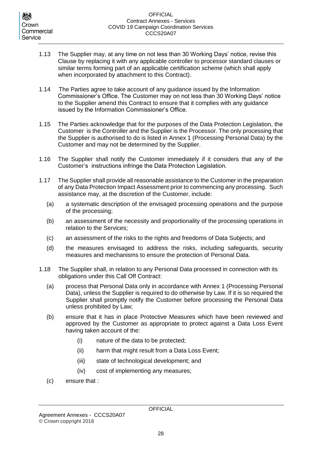- 1.13 The Supplier may, at any time on not less than 30 Working Days' notice, revise this Clause by replacing it with any applicable controller to processor standard clauses or similar terms forming part of an applicable certification scheme (which shall apply when incorporated by attachment to this Contract).
- 1.14 The Parties agree to take account of any guidance issued by the Information Commissioner's Office. The Customer may on not less than 30 Working Days' notice to the Supplier amend this Contract to ensure that it complies with any guidance issued by the Information Commissioner's Office.
- 1.15 The Parties acknowledge that for the purposes of the Data Protection Legislation, the Customer is the Controller and the Supplier is the Processor. The only processing that the Supplier is authorised to do is listed in Annex 1 (Processing Personal Data) by the Customer and may not be determined by the Supplier.
- 1.16 The Supplier shall notify the Customer immediately if it considers that any of the Customer's instructions infringe the Data Protection Legislation.
- 1.17 The Supplier shall provide all reasonable assistance to the Customer in the preparation of any Data Protection Impact Assessment prior to commencing any processing. Such assistance may, at the discretion of the Customer, include:
	- (a) a systematic description of the envisaged processing operations and the purpose of the processing;
	- (b) an assessment of the necessity and proportionality of the processing operations in relation to the Services;
	- (c) an assessment of the risks to the rights and freedoms of Data Subjects; and
	- (d) the measures envisaged to address the risks, including safeguards, security measures and mechanisms to ensure the protection of Personal Data.
- 1.18 The Supplier shall, in relation to any Personal Data processed in connection with its obligations under this Call Off Contract:
	- (a) process that Personal Data only in accordance with Annex 1 (Processing Personal Data), unless the Supplier is required to do otherwise by Law. If it is so required the Supplier shall promptly notify the Customer before processing the Personal Data unless prohibited by Law;
	- (b) ensure that it has in place Protective Measures which have been reviewed and approved by the Customer as appropriate to protect against a Data Loss Event having taken account of the:
		- (i) nature of the data to be protected;
		- (ii) harm that might result from a Data Loss Event;
		- (iii) state of technological development; and
		- (iv) cost of implementing any measures;
	- (c) ensure that :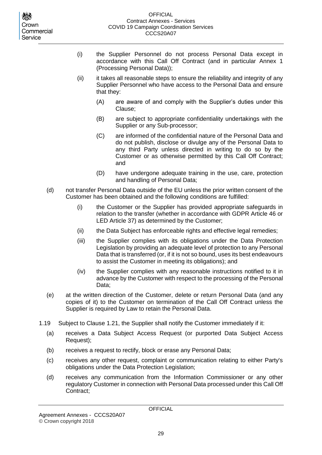- (i) the Supplier Personnel do not process Personal Data except in accordance with this Call Off Contract (and in particular Annex 1 (Processing Personal Data));
- (ii) it takes all reasonable steps to ensure the reliability and integrity of any Supplier Personnel who have access to the Personal Data and ensure that they:
	- (A) are aware of and comply with the Supplier's duties under this Clause;
	- (B) are subject to appropriate confidentiality undertakings with the Supplier or any Sub-processor;
	- (C) are informed of the confidential nature of the Personal Data and do not publish, disclose or divulge any of the Personal Data to any third Party unless directed in writing to do so by the Customer or as otherwise permitted by this Call Off Contract; and
	- (D) have undergone adequate training in the use, care, protection and handling of Personal Data;
- (d) not transfer Personal Data outside of the EU unless the prior written consent of the Customer has been obtained and the following conditions are fulfilled:
	- (i) the Customer or the Supplier has provided appropriate safeguards in relation to the transfer (whether in accordance with GDPR Article 46 or LED Article 37) as determined by the Customer;
	- (ii) the Data Subject has enforceable rights and effective legal remedies;
	- (iii) the Supplier complies with its obligations under the Data Protection Legislation by providing an adequate level of protection to any Personal Data that is transferred (or, if it is not so bound, uses its best endeavours to assist the Customer in meeting its obligations); and
	- (iv) the Supplier complies with any reasonable instructions notified to it in advance by the Customer with respect to the processing of the Personal Data;
- (e) at the written direction of the Customer, delete or return Personal Data (and any copies of it) to the Customer on termination of the Call Off Contract unless the Supplier is required by Law to retain the Personal Data.
- 1.19 Subject to Clause 1.21, the Supplier shall notify the Customer immediately if it:
	- (a) receives a Data Subject Access Request (or purported Data Subject Access Request);
	- (b) receives a request to rectify, block or erase any Personal Data;
	- (c) receives any other request, complaint or communication relating to either Party's obligations under the Data Protection Legislation;
	- (d) receives any communication from the Information Commissioner or any other regulatory Customer in connection with Personal Data processed under this Call Off Contract;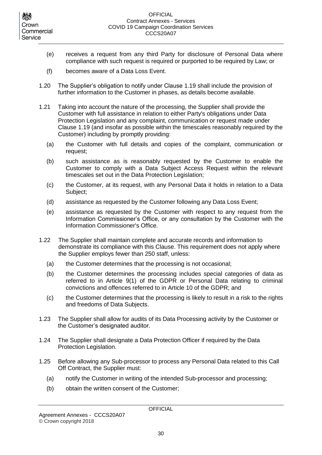- (e) receives a request from any third Party for disclosure of Personal Data where compliance with such request is required or purported to be required by Law; or
- (f) becomes aware of a Data Loss Event.
- 1.20 The Supplier's obligation to notify under Clause 1.19 shall include the provision of further information to the Customer in phases, as details become available.
- 1.21 Taking into account the nature of the processing, the Supplier shall provide the Customer with full assistance in relation to either Party's obligations under Data Protection Legislation and any complaint, communication or request made under Clause 1.19 (and insofar as possible within the timescales reasonably required by the Customer) including by promptly providing:
	- (a) the Customer with full details and copies of the complaint, communication or request;
	- (b) such assistance as is reasonably requested by the Customer to enable the Customer to comply with a Data Subject Access Request within the relevant timescales set out in the Data Protection Legislation;
	- (c) the Customer, at its request, with any Personal Data it holds in relation to a Data Subject;
	- (d) assistance as requested by the Customer following any Data Loss Event;
	- (e) assistance as requested by the Customer with respect to any request from the Information Commissioner's Office, or any consultation by the Customer with the Information Commissioner's Office.
- 1.22 The Supplier shall maintain complete and accurate records and information to demonstrate its compliance with this Clause. This requirement does not apply where the Supplier employs fewer than 250 staff, unless:
	- (a) the Customer determines that the processing is not occasional;
	- (b) the Customer determines the processing includes special categories of data as referred to in Article 9(1) of the GDPR or Personal Data relating to criminal convictions and offences referred to in Article 10 of the GDPR; and
	- (c) the Customer determines that the processing is likely to result in a risk to the rights and freedoms of Data Subjects.
- 1.23 The Supplier shall allow for audits of its Data Processing activity by the Customer or the Customer's designated auditor.
- 1.24 The Supplier shall designate a Data Protection Officer if required by the Data Protection Legislation.
- 1.25 Before allowing any Sub-processor to process any Personal Data related to this Call Off Contract, the Supplier must:
	- (a) notify the Customer in writing of the intended Sub-processor and processing;
	- (b) obtain the written consent of the Customer;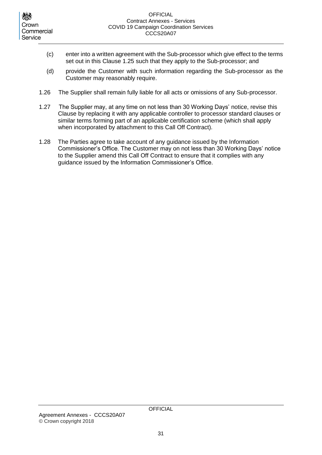- (c) enter into a written agreement with the Sub-processor which give effect to the terms set out in this Clause 1.25 such that they apply to the Sub-processor; and
- (d) provide the Customer with such information regarding the Sub-processor as the Customer may reasonably require.
- 1.26 The Supplier shall remain fully liable for all acts or omissions of any Sub-processor.
- 1.27 The Supplier may, at any time on not less than 30 Working Days' notice, revise this Clause by replacing it with any applicable controller to processor standard clauses or similar terms forming part of an applicable certification scheme (which shall apply when incorporated by attachment to this Call Off Contract).
- 1.28 The Parties agree to take account of any guidance issued by the Information Commissioner's Office. The Customer may on not less than 30 Working Days' notice to the Supplier amend this Call Off Contract to ensure that it complies with any guidance issued by the Information Commissioner's Office.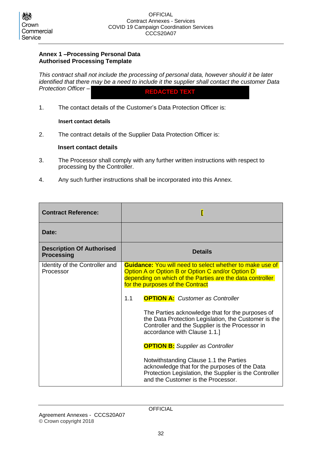### **Annex 1 –Processing Personal Data Authorised Processing Template**

*This contract shall not include the processing of personal data, however should it be later identified that there may be a need to include it the supplier shall contact the customer Data Protection Officer –* 

**REDACTED TEXT**

1. The contact details of the Customer's Data Protection Officer is:

#### **Insert contact details**

2. The contract details of the Supplier Data Protection Officer is:

#### **Insert contact details**

- 3. The Processor shall comply with any further written instructions with respect to processing by the Controller.
- 4. Any such further instructions shall be incorporated into this Annex.

| <b>Contract Reference:</b>                            |                                                                                                                                                                                                                      |  |
|-------------------------------------------------------|----------------------------------------------------------------------------------------------------------------------------------------------------------------------------------------------------------------------|--|
| Date:                                                 |                                                                                                                                                                                                                      |  |
| <b>Description Of Authorised</b><br><b>Processing</b> | <b>Details</b>                                                                                                                                                                                                       |  |
| Identity of the Controller and<br>Processor           | <b>Guidance:</b> You will need to select whether to make use of<br>Option A or Option B or Option C and/or Option D<br>depending on which of the Parties are the data controller<br>for the purposes of the Contract |  |
|                                                       | <b>OPTION A:</b> Customer as Controller<br>1.1                                                                                                                                                                       |  |
|                                                       | The Parties acknowledge that for the purposes of<br>the Data Protection Legislation, the Customer is the<br>Controller and the Supplier is the Processor in<br>accordance with Clause 1.1.]                          |  |
|                                                       | <b>OPTION B:</b> Supplier as Controller                                                                                                                                                                              |  |
|                                                       | Notwithstanding Clause 1.1 the Parties<br>acknowledge that for the purposes of the Data<br>Protection Legislation, the Supplier is the Controller<br>and the Customer is the Processor.                              |  |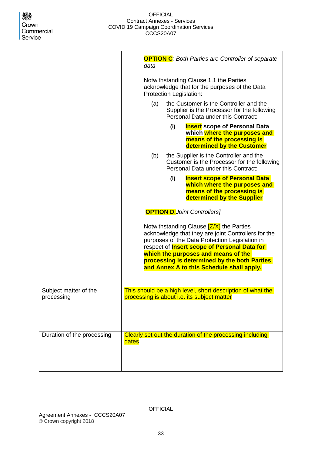|                                     | <b>OPTION C:</b> Both Parties are Controller of separate<br>data                                                                                                                                                                                                                                                                             |  |  |
|-------------------------------------|----------------------------------------------------------------------------------------------------------------------------------------------------------------------------------------------------------------------------------------------------------------------------------------------------------------------------------------------|--|--|
|                                     | Notwithstanding Clause 1.1 the Parties<br>acknowledge that for the purposes of the Data<br>Protection Legislation:                                                                                                                                                                                                                           |  |  |
|                                     | (a)<br>the Customer is the Controller and the<br>Supplier is the Processor for the following<br>Personal Data under this Contract:                                                                                                                                                                                                           |  |  |
|                                     | <b>Insert</b> scope of Personal Data<br>(i)<br>which where the purposes and<br>means of the processing is<br>determined by the Customer                                                                                                                                                                                                      |  |  |
|                                     | the Supplier is the Controller and the<br>(b)<br>Customer is the Processor for the following<br>Personal Data under this Contract:                                                                                                                                                                                                           |  |  |
|                                     | <b>Insert scope of Personal Data</b><br>(i)<br>which where the purposes and<br>means of the processing is<br>determined by the Supplier                                                                                                                                                                                                      |  |  |
|                                     | <b>OPTION D:Joint Controllers]</b>                                                                                                                                                                                                                                                                                                           |  |  |
|                                     | Notwithstanding Clause [Z/X] the Parties<br>acknowledge that they are joint Controllers for the<br>purposes of the Data Protection Legislation in<br>respect of <i>Insert scope of Personal Data for</i><br>which the purposes and means of the<br>processing is determined by the both Parties<br>and Annex A to this Schedule shall apply. |  |  |
| Subject matter of the<br>processing | This should be a high level, short description of what the<br>processing is about i.e. its subject matter                                                                                                                                                                                                                                    |  |  |
| Duration of the processing          | Clearly set out the duration of the processing including<br>dates                                                                                                                                                                                                                                                                            |  |  |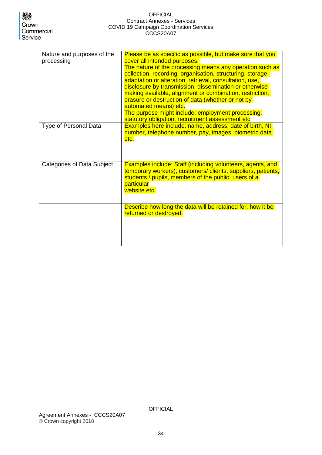#### OFFICIAL Contract Annexes - Services COVID 19 Campaign Coordination Services CCCS20A07

| Nature and purposes of the<br>processing | Please be as specific as possible, but make sure that you<br>cover all intended purposes.<br>The nature of the processing means any operation such as<br>collection, recording, organisation, structuring, storage,<br>adaptation or alteration, retrieval, consultation, use,<br>disclosure by transmission, dissemination or otherwise<br>making available, alignment or combination, restriction,<br>erasure or destruction of data (whether or not by<br>automated means) etc.<br>The purpose might include: employment processing,<br>statutory obligation, recruitment assessment etc. |
|------------------------------------------|----------------------------------------------------------------------------------------------------------------------------------------------------------------------------------------------------------------------------------------------------------------------------------------------------------------------------------------------------------------------------------------------------------------------------------------------------------------------------------------------------------------------------------------------------------------------------------------------|
| Type of Personal Data                    | Examples here include: name, address, date of birth, NI<br>number, telephone number, pay, images, biometric data<br>etc.                                                                                                                                                                                                                                                                                                                                                                                                                                                                     |
| <b>Categories of Data Subject</b>        | <b>Examples include: Staff (including volunteers, agents, and</b><br>temporary workers), customers/ clients, suppliers, patients,<br>students / pupils, members of the public, users of a<br>particular<br>website etc.                                                                                                                                                                                                                                                                                                                                                                      |
|                                          | Describe how long the data will be retained for, how it be<br>returned or destroyed.                                                                                                                                                                                                                                                                                                                                                                                                                                                                                                         |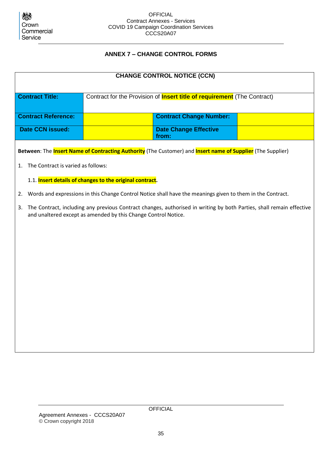

## **ANNEX 7 – CHANGE CONTROL FORMS**

<span id="page-34-0"></span>

| <b>CHANGE CONTROL NOTICE (CCN)</b>       |                                                                                 |                                                                                                                           |  |  |  |  |
|------------------------------------------|---------------------------------------------------------------------------------|---------------------------------------------------------------------------------------------------------------------------|--|--|--|--|
| <b>Contract Title:</b>                   | Contract for the Provision of <b>Insert title of requirement</b> (The Contract) |                                                                                                                           |  |  |  |  |
| <b>Contract Reference:</b>               | <b>Contract Change Number:</b>                                                  |                                                                                                                           |  |  |  |  |
| <b>Date CCN issued:</b>                  |                                                                                 | <b>Date Change Effective</b><br>from:                                                                                     |  |  |  |  |
|                                          |                                                                                 | Between: The <b>Insert Name of Contracting Authority</b> (The Customer) and <b>Insert name of Supplier</b> (The Supplier) |  |  |  |  |
| The Contract is varied as follows:<br>1. |                                                                                 |                                                                                                                           |  |  |  |  |
|                                          | 1.1. Insert details of changes to the original contract.                        |                                                                                                                           |  |  |  |  |
| 2.                                       |                                                                                 | Words and expressions in this Change Control Notice shall have the meanings given to them in the Contract.                |  |  |  |  |
| 3.                                       | and unaltered except as amended by this Change Control Notice.                  | The Contract, including any previous Contract changes, authorised in writing by both Parties, shall remain effective      |  |  |  |  |
|                                          |                                                                                 |                                                                                                                           |  |  |  |  |
|                                          |                                                                                 |                                                                                                                           |  |  |  |  |
|                                          |                                                                                 |                                                                                                                           |  |  |  |  |
|                                          |                                                                                 |                                                                                                                           |  |  |  |  |
|                                          |                                                                                 |                                                                                                                           |  |  |  |  |
|                                          |                                                                                 |                                                                                                                           |  |  |  |  |
|                                          |                                                                                 |                                                                                                                           |  |  |  |  |
|                                          |                                                                                 |                                                                                                                           |  |  |  |  |
|                                          |                                                                                 |                                                                                                                           |  |  |  |  |